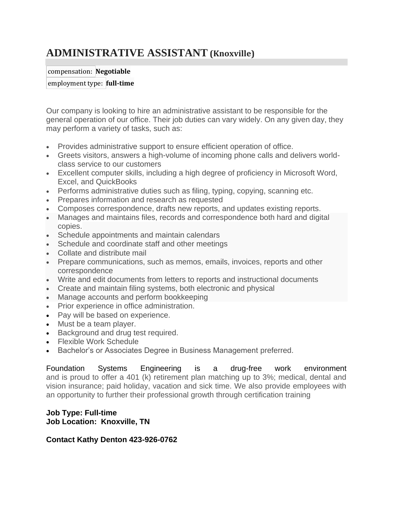# **ADMINISTRATIVE ASSISTANT (Knoxville)**

#### compensation: **Negotiable**

#### employment type: **full-time**

Our company is looking to hire an administrative assistant to be responsible for the general operation of our office. Their job duties can vary widely. On any given day, they may perform a variety of tasks, such as:

- Provides administrative support to ensure efficient operation of office.
- Greets visitors, answers a high-volume of incoming phone calls and delivers worldclass service to our customers
- Excellent computer skills, including a high degree of proficiency in Microsoft Word, Excel, and QuickBooks
- Performs administrative duties such as filing, typing, copying, scanning etc.
- Prepares information and research as requested
- Composes correspondence, drafts new reports, and updates existing reports.
- Manages and maintains files, records and correspondence both hard and digital copies.
- Schedule appointments and maintain calendars
- Schedule and coordinate staff and other meetings
- Collate and distribute mail
- Prepare communications, such as memos, emails, invoices, reports and other correspondence
- Write and edit documents from letters to reports and instructional documents
- Create and maintain filing systems, both electronic and physical
- Manage accounts and perform bookkeeping
- Prior experience in office administration.
- Pay will be based on experience.
- Must be a team player.
- Background and drug test required.
- Flexible Work Schedule
- Bachelor's or Associates Degree in Business Management preferred.

Foundation Systems Engineering is a drug-free work environment and is proud to offer a 401 (k) retirement plan matching up to 3%; medical, dental and vision insurance; paid holiday, vacation and sick time. We also provide employees with an opportunity to further their professional growth through certification training

#### **Job Type: Full-time Job Location: Knoxville, TN**

# **Contact Kathy Denton 423-926-0762**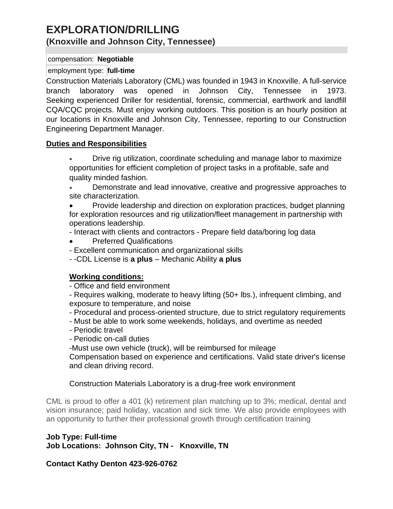# **EXPLORATION/DRILLING (Knoxville and Johnson City, Tennessee)**

#### compensation: **Negotiable**

# employment type: **full-time**

Construction Materials Laboratory (CML) was founded in 1943 in Knoxville. A full-service branch laboratory was opened in Johnson City, Tennessee in 1973. Seeking experienced Driller for residential, forensic, commercial, earthwork and landfill CQA/CQC projects. Must enjoy working outdoors. This position is an hourly position at our locations in Knoxville and Johnson City, Tennessee, reporting to our Construction Engineering Department Manager.

#### **Duties and Responsibilities**

- Drive rig utilization, coordinate scheduling and manage labor to maximize opportunities for efficient completion of project tasks in a profitable, safe and quality minded fashion.
- Demonstrate and lead innovative, creative and progressive approaches to site characterization.
- Provide leadership and direction on exploration practices, budget planning for exploration resources and rig utilization/fleet management in partnership with operations leadership.
- Interact with clients and contractors Prepare field data/boring log data
- Preferred Qualifications
- Excellent communication and organizational skills
- -CDL License is **a plus** Mechanic Ability **a plus**

# **Working conditions:**

- Office and field environment
- Requires walking, moderate to heavy lifting (50+ lbs.), infrequent climbing, and exposure to temperature, and noise
- Procedural and process-oriented structure, due to strict regulatory requirements
- Must be able to work some weekends, holidays, and overtime as needed
- Periodic travel
- Periodic on-call duties
- -Must use own vehicle (truck), will be reimbursed for mileage

Compensation based on experience and certifications. Valid state driver's license and clean driving record.

# Construction Materials Laboratory is a drug-free work environment

CML is proud to offer a 401 (k) retirement plan matching up to 3%; medical, dental and vision insurance; paid holiday, vacation and sick time. We also provide employees with an opportunity to further their professional growth through certification training

# **Job Type: Full-time**

**Job Locations: Johnson City, TN - Knoxville, TN**

**Contact Kathy Denton 423-926-0762**